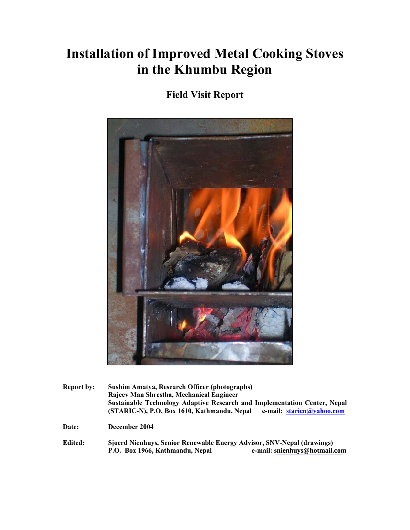# **Installation of Improved Metal Cooking Stoves in the Khumbu Region**

# **Field Visit Report**



**Report by: Sushim Amatya, Research Officer (photographs) Rajeev Man Shrestha, Mechanical Engineer Sustainable Technology Adaptive Research and Implementation Center, Nepal (STARIC-N), P.O. Box 1610, Kathmandu, Nepal e-mail: staricn@yahoo.com**

**Date: December 2004** 

**Edited: Sjoerd Nienhuys, Senior Renewable Energy Advisor, SNV-Nepal (drawings) P.O. Box 1966, Kathmandu, Nepal e-mail: [snienhuys@hotmail.com](mailto:snienhuys@hotmail.com)**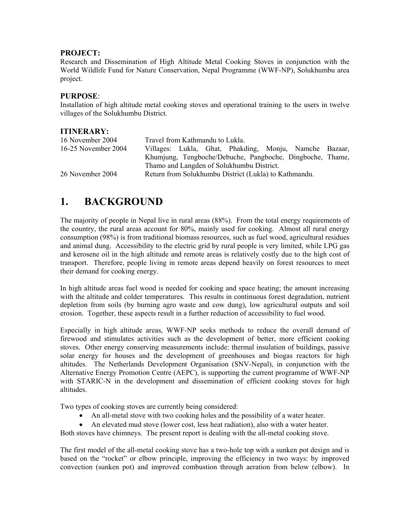#### **PROJECT:**

Research and Dissemination of High Altitude Metal Cooking Stoves in conjunction with the World Wildlife Fund for Nature Conservation, Nepal Programme (WWF-NP), Solukhumbu area project.

#### **PURPOSE**:

Installation of high altitude metal cooking stoves and operational training to the users in twelve villages of the Solukhumbu District.

#### **ITINERARY:**

| 16 November 2004                          | Travel from Kathmandu to Lukla.                           |  |  |  |
|-------------------------------------------|-----------------------------------------------------------|--|--|--|
| 16-25 November 2004                       | Villages: Lukla, Ghat, Phakding, Monju, Namche Bazaar,    |  |  |  |
|                                           | Khumjung, Tengboche/Debuche, Pangboche, Dingboche, Thame, |  |  |  |
| Thamo and Langden of Solukhumbu District. |                                                           |  |  |  |
| 26 November 2004                          | Return from Solukhumbu District (Lukla) to Kathmandu.     |  |  |  |
|                                           |                                                           |  |  |  |

## **1. BACKGROUND**

The majority of people in Nepal live in rural areas (88%). From the total energy requirements of the country, the rural areas account for 80%, mainly used for cooking. Almost all rural energy consumption (98%) is from traditional biomass resources, such as fuel wood, agricultural residues and animal dung. Accessibility to the electric grid by rural people is very limited, while LPG gas and kerosene oil in the high altitude and remote areas is relatively costly due to the high cost of transport. Therefore, people living in remote areas depend heavily on forest resources to meet their demand for cooking energy.

In high altitude areas fuel wood is needed for cooking and space heating; the amount increasing with the altitude and colder temperatures. This results in continuous forest degradation, nutrient depletion from soils (by burning agro waste and cow dung), low agricultural outputs and soil erosion. Together, these aspects result in a further reduction of accessibility to fuel wood.

Especially in high altitude areas, WWF-NP seeks methods to reduce the overall demand of firewood and stimulates activities such as the development of better, more efficient cooking stoves. Other energy conserving measurements include: thermal insulation of buildings, passive solar energy for houses and the development of greenhouses and biogas reactors for high altitudes. The Netherlands Development Organisation (SNV-Nepal), in conjunction with the Alternative Energy Promotion Centre (AEPC), is supporting the current programme of WWF-NP with STARIC-N in the development and dissemination of efficient cooking stoves for high altitudes.

Two types of cooking stoves are currently being considered:

- An all-metal stove with two cooking holes and the possibility of a water heater.
- An elevated mud stove (lower cost, less heat radiation), also with a water heater.

Both stoves have chimneys. The present report is dealing with the all-metal cooking stove.

The first model of the all-metal cooking stove has a two-hole top with a sunken pot design and is based on the "rocket" or elbow principle, improving the efficiency in two ways: by improved convection (sunken pot) and improved combustion through aeration from below (elbow). In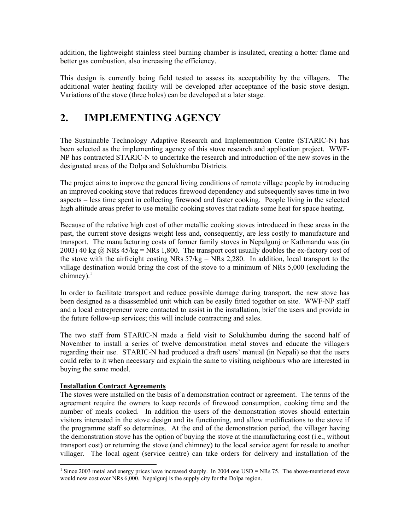addition, the lightweight stainless steel burning chamber is insulated, creating a hotter flame and better gas combustion, also increasing the efficiency.

This design is currently being field tested to assess its acceptability by the villagers. The additional water heating facility will be developed after acceptance of the basic stove design. Variations of the stove (three holes) can be developed at a later stage.

# **2. IMPLEMENTING AGENCY**

The Sustainable Technology Adaptive Research and Implementation Centre (STARIC-N) has been selected as the implementing agency of this stove research and application project. WWF-NP has contracted STARIC-N to undertake the research and introduction of the new stoves in the designated areas of the Dolpa and Solukhumbu Districts.

The project aims to improve the general living conditions of remote village people by introducing an improved cooking stove that reduces firewood dependency and subsequently saves time in two aspects – less time spent in collecting firewood and faster cooking. People living in the selected high altitude areas prefer to use metallic cooking stoves that radiate some heat for space heating.

Because of the relative high cost of other metallic cooking stoves introduced in these areas in the past, the current stove designs weight less and, consequently, are less costly to manufacture and transport. The manufacturing costs of former family stoves in Nepalgunj or Kathmandu was (in 2003) 40 kg  $\omega$  NRs 45/kg = NRs 1,800. The transport cost usually doubles the ex-factory cost of the stove with the airfreight costing NRs  $57/kg = NRs 2,280$ . In addition, local transport to the village destination would bring the cost of the stove to a minimum of NRs 5,000 (excluding the chimney). $1$ 

In order to facilitate transport and reduce possible damage during transport, the new stove has been designed as a disassembled unit which can be easily fitted together on site. WWF-NP staff and a local entrepreneur were contacted to assist in the installation, brief the users and provide in the future follow-up services; this will include contracting and sales.

The two staff from STARIC-N made a field visit to Solukhumbu during the second half of November to install a series of twelve demonstration metal stoves and educate the villagers regarding their use. STARIC-N had produced a draft users' manual (in Nepali) so that the users could refer to it when necessary and explain the same to visiting neighbours who are interested in buying the same model.

#### **Installation Contract Agreements**

The stoves were installed on the basis of a demonstration contract or agreement. The terms of the agreement require the owners to keep records of firewood consumption, cooking time and the number of meals cooked. In addition the users of the demonstration stoves should entertain visitors interested in the stove design and its functioning, and allow modifications to the stove if the programme staff so determines. At the end of the demonstration period, the villager having the demonstration stove has the option of buying the stove at the manufacturing cost (i.e., without transport cost) or returning the stove (and chimney) to the local service agent for resale to another villager. The local agent (service centre) can take orders for delivery and installation of the

<sup>&</sup>lt;sup>1</sup> Since 2003 metal and energy prices have increased sharply. In 2004 one USD = NRs 75. The above-mentioned stove would now cost over NRs 6,000. Nepalgunj is the supply city for the Dolpa region.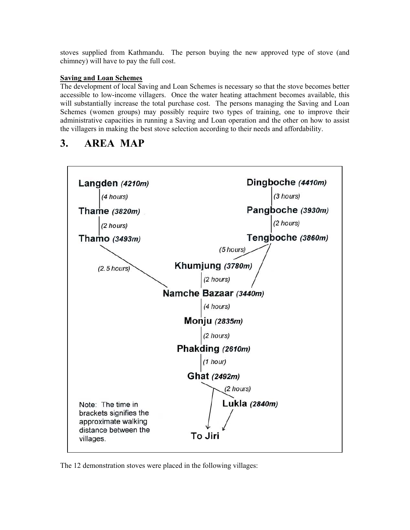stoves supplied from Kathmandu. The person buying the new approved type of stove (and chimney) will have to pay the full cost.

#### **Saving and Loan Schemes**

The development of local Saving and Loan Schemes is necessary so that the stove becomes better accessible to low-income villagers. Once the water heating attachment becomes available, this will substantially increase the total purchase cost. The persons managing the Saving and Loan Schemes (women groups) may possibly require two types of training, one to improve their administrative capacities in running a Saving and Loan operation and the other on how to assist the villagers in making the best stove selection according to their needs and affordability.

## **3. AREA MAP**



The 12 demonstration stoves were placed in the following villages: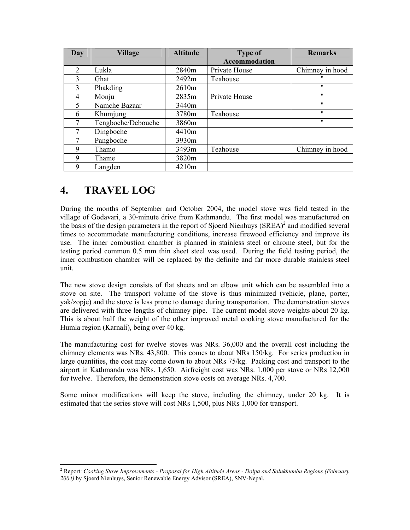| <b>Day</b>     | <b>Village</b>     | <b>Altitude</b> | <b>Type of</b>       | <b>Remarks</b>    |
|----------------|--------------------|-----------------|----------------------|-------------------|
|                |                    |                 | <b>Accommodation</b> |                   |
| $\overline{2}$ | Lukla              | 2840m           | Private House        | Chimney in hood   |
| 3              | Ghat               | 2492m           | Teahouse             | $^{\prime\prime}$ |
| 3              | Phakding           | 2610m           |                      | $^{\prime\prime}$ |
| 4              | Monju              | 2835m           | Private House        | $^{\prime\prime}$ |
| 5              | Namche Bazaar      | 3440m           |                      | $^{\prime\prime}$ |
| 6              | Khumjung           | 3780m           | Teahouse             | $^{\prime\prime}$ |
|                | Tengboche/Debouche | 3860m           |                      | $^{\prime\prime}$ |
| 7              | Dingboche          | 4410m           |                      |                   |
|                | Pangboche          | 3930m           |                      |                   |
| 9              | Thamo              | 3493m           | Teahouse             | Chimney in hood   |
| 9              | Thame              | 3820m           |                      |                   |
| 9              | Langden            | 4210m           |                      |                   |

# **4. TRAVEL LOG**

During the months of September and October 2004, the model stove was field tested in the village of Godavari, a 30-minute drive from Kathmandu. The first model was manufactured on the basis of the design parameters in the report of Sjoerd Nienhuys  $(SREA)^2$  and modified several times to accommodate manufacturing conditions, increase firewood efficiency and improve its use. The inner combustion chamber is planned in stainless steel or chrome steel, but for the testing period common 0.5 mm thin sheet steel was used. During the field testing period, the inner combustion chamber will be replaced by the definite and far more durable stainless steel unit.

The new stove design consists of flat sheets and an elbow unit which can be assembled into a stove on site. The transport volume of the stove is thus minimized (vehicle, plane, porter, yak/zopje) and the stove is less prone to damage during transportation. The demonstration stoves are delivered with three lengths of chimney pipe. The current model stove weights about 20 kg. This is about half the weight of the other improved metal cooking stove manufactured for the Humla region (Karnali), being over 40 kg.

The manufacturing cost for twelve stoves was NRs. 36,000 and the overall cost including the chimney elements was NRs. 43,800. This comes to about NRs 150/kg. For series production in large quantities, the cost may come down to about NRs 75/kg. Packing cost and transport to the airport in Kathmandu was NRs. 1,650. Airfreight cost was NRs. 1,000 per stove or NRs 12,000 for twelve. Therefore, the demonstration stove costs on average NRs. 4,700.

Some minor modifications will keep the stove, including the chimney, under 20 kg. It is estimated that the series stove will cost NRs 1,500, plus NRs 1,000 for transport.

 2 Report: *Cooking Stove Improvements - Proposal for High Altitude Areas - Dolpa and Solukhumbu Regions (February 2004)* by Sjoerd Nienhuys, Senior Renewable Energy Advisor (SREA), SNV-Nepal.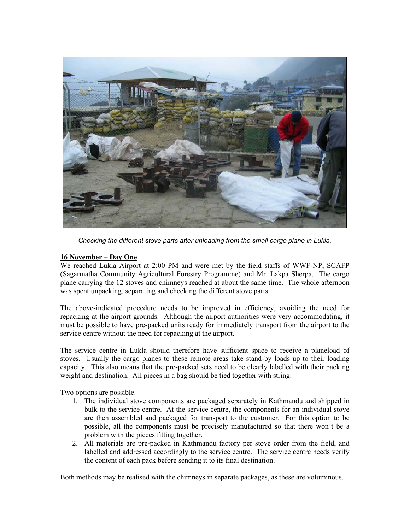

*Checking the different stove parts after unloading from the small cargo plane in Lukla.* 

#### **16 November – Day One**

We reached Lukla Airport at 2:00 PM and were met by the field staffs of WWF-NP, SCAFP (Sagarmatha Community Agricultural Forestry Programme) and Mr. Lakpa Sherpa. The cargo plane carrying the 12 stoves and chimneys reached at about the same time. The whole afternoon was spent unpacking, separating and checking the different stove parts.

The above-indicated procedure needs to be improved in efficiency, avoiding the need for repacking at the airport grounds. Although the airport authorities were very accommodating, it must be possible to have pre-packed units ready for immediately transport from the airport to the service centre without the need for repacking at the airport.

The service centre in Lukla should therefore have sufficient space to receive a planeload of stoves. Usually the cargo planes to these remote areas take stand-by loads up to their loading capacity. This also means that the pre-packed sets need to be clearly labelled with their packing weight and destination. All pieces in a bag should be tied together with string.

Two options are possible.

- 1. The individual stove components are packaged separately in Kathmandu and shipped in bulk to the service centre. At the service centre, the components for an individual stove are then assembled and packaged for transport to the customer. For this option to be possible, all the components must be precisely manufactured so that there won't be a problem with the pieces fitting together.
- 2. All materials are pre-packed in Kathmandu factory per stove order from the field, and labelled and addressed accordingly to the service centre. The service centre needs verify the content of each pack before sending it to its final destination.

Both methods may be realised with the chimneys in separate packages, as these are voluminous.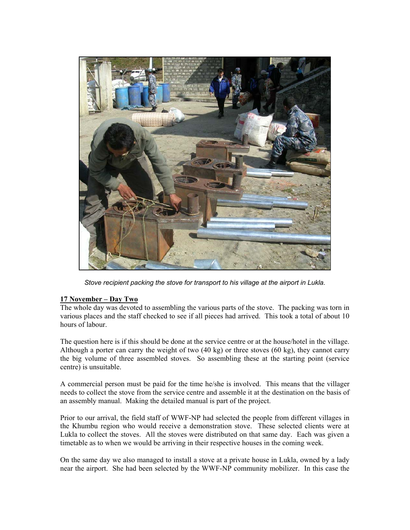

*Stove recipient packing the stove for transport to his village at the airport in Lukla.* 

#### **17 November – Day Two**

The whole day was devoted to assembling the various parts of the stove. The packing was torn in various places and the staff checked to see if all pieces had arrived. This took a total of about 10 hours of labour.

The question here is if this should be done at the service centre or at the house/hotel in the village. Although a porter can carry the weight of two (40 kg) or three stoves (60 kg), they cannot carry the big volume of three assembled stoves. So assembling these at the starting point (service centre) is unsuitable.

A commercial person must be paid for the time he/she is involved. This means that the villager needs to collect the stove from the service centre and assemble it at the destination on the basis of an assembly manual. Making the detailed manual is part of the project.

Prior to our arrival, the field staff of WWF-NP had selected the people from different villages in the Khumbu region who would receive a demonstration stove. These selected clients were at Lukla to collect the stoves. All the stoves were distributed on that same day. Each was given a timetable as to when we would be arriving in their respective houses in the coming week.

On the same day we also managed to install a stove at a private house in Lukla, owned by a lady near the airport. She had been selected by the WWF-NP community mobilizer. In this case the